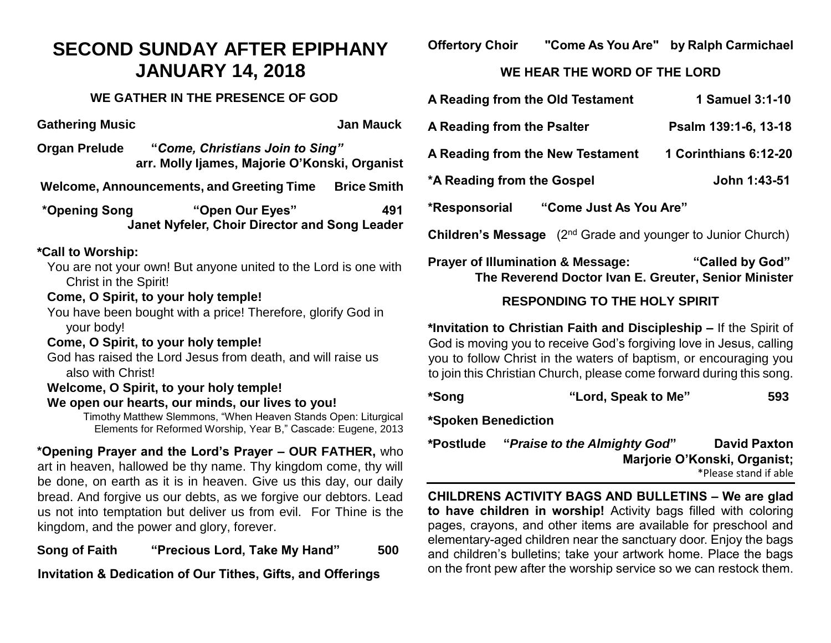# **SECOND SUNDAY AFTER EPIPHANY JANUARY 14, 2018**

### **WE GATHER IN THE PRESENCE OF GOD**

**Gathering Music Community Community Community Community Community Community Community Community Community Community Community Community Community Community Community Community Community Community Community Community Commu** 

**Organ Prelude "***Come, Christians Join to Sing"* **arr. Molly Ijames, Majorie O'Konski, Organist**

**Welcome, Announcements, and Greeting Time Brice Smith**

**\*Opening Song "Open Our Eyes" 491 Janet Nyfeler, Choir Director and Song Leader**

#### **\*Call to Worship:**

You are not your own! But anyone united to the Lord is one with Christ in the Spirit!

## **Come, O Spirit, to your holy temple!**

You have been bought with a price! Therefore, glorify God in your body!

#### **Come, O Spirit, to your holy temple!**

God has raised the Lord Jesus from death, and will raise us also with Christ!

## **Welcome, O Spirit, to your holy temple!**

#### **We open our hearts, our minds, our lives to you!**

Timothy Matthew Slemmons, "When Heaven Stands Open: Liturgical Elements for Reformed Worship, Year B," Cascade: Eugene, 2013

**\*Opening Prayer and the Lord's Prayer – OUR FATHER,** who art in heaven, hallowed be thy name. Thy kingdom come, thy will be done, on earth as it is in heaven. Give us this day, our daily bread. And forgive us our debts, as we forgive our debtors. Lead us not into temptation but deliver us from evil. For Thine is the kingdom, and the power and glory, forever.

**Song of Faith "Precious Lord, Take My Hand" 500** 

**Invitation & Dedication of Our Tithes, Gifts, and Offerings**

**Offertory Choir "Come As You Are" by Ralph Carmichael**

### **WE HEAR THE WORD OF THE LORD**

| A Reading from the Old Testament                                                  | 1 Samuel 3:1-10       |  |  |
|-----------------------------------------------------------------------------------|-----------------------|--|--|
| A Reading from the Psalter                                                        | Psalm 139:1-6, 13-18  |  |  |
| A Reading from the New Testament                                                  | 1 Corinthians 6:12-20 |  |  |
| *A Reading from the Gospel                                                        | John 1:43-51          |  |  |
| "Come Just As You Are"<br>*Responsorial                                           |                       |  |  |
| (2 <sup>nd</sup> Grade and younger to Junior Church)<br><b>Children's Message</b> |                       |  |  |

## **Prayer of Illumination & Message: "Called by God" The Reverend Doctor Ivan E. Greuter, Senior Minister**

## **RESPONDING TO THE HOLY SPIRIT**

**\*Invitation to Christian Faith and Discipleship –** If the Spirit of God is moving you to receive God's forgiving love in Jesus, calling you to follow Christ in the waters of baptism, or encouraging you to join this Christian Church, please come forward during this song.

**\*Song "Lord, Speak to Me" 593**

**\*Spoken Benediction**

| *Postlude | "Praise to the Almighty God" | <b>David Paxton</b>          |
|-----------|------------------------------|------------------------------|
|           |                              | Marjorie O'Konski, Organist; |
|           |                              | *Please stand if able        |

**CHILDRENS ACTIVITY BAGS AND BULLETINS – We are glad to have children in worship!** Activity bags filled with coloring pages, crayons, and other items are available for preschool and elementary-aged children near the sanctuary door. Enjoy the bags and children's bulletins; take your artwork home. Place the bags on the front pew after the worship service so we can restock them.